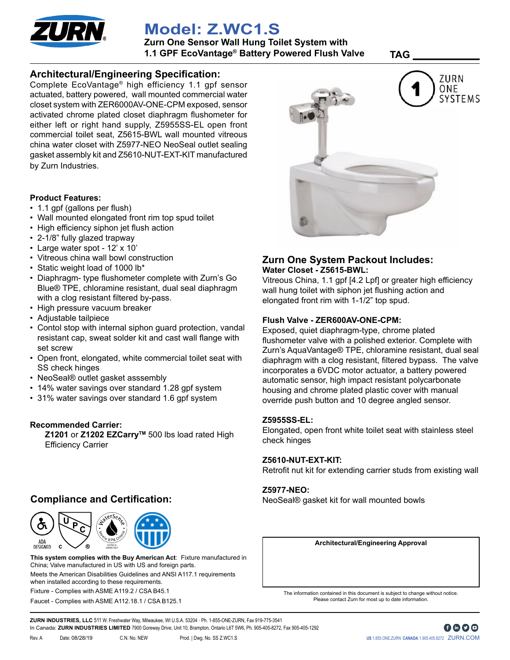

# **Model: Z.WC1.S**

**Zurn One Sensor Wall Hung Toilet System with 1.1 GPF EcoVantage® Battery Powered Flush Valve TAG \_\_\_\_\_\_\_\_\_\_\_\_**

### **Architectural/Engineering Specification:**

Complete EcoVantage® high efficiency 1.1 gpf sensor actuated, battery powered, wall mounted commercial water closet system with ZER6000AV-ONE-CPM exposed, sensor activated chrome plated closet diaphragm flushometer for either left or right hand supply, Z5955SS-EL open front commercial toilet seat, Z5615-BWL wall mounted vitreous china water closet with Z5977-NEO NeoSeal outlet sealing gasket assembly kit and Z5610-NUT-EXT-KIT manufactured by Zurn Industries.

#### **Product Features:**

- 1.1 gpf (gallons per flush)
- Wall mounted elongated front rim top spud toilet
- High efficiency siphon jet flush action
- 2-1/8" fully glazed trapway
- Large water spot 12' x 10'
- Vitreous china wall bowl construction
- Static weight load of 1000 lb\*
- Diaphragm- type flushometer complete with Zurn's Go Blue® TPE, chloramine resistant, dual seal diaphragm with a clog resistant filtered by-pass.
- High pressure vacuum breaker
- Adjustable tailpiece
- Contol stop with internal siphon guard protection, vandal resistant cap, sweat solder kit and cast wall flange with set screw
- Open front, elongated, white commercial toilet seat with SS check hinges
- NeoSeal® outlet gasket asssembly
- 14% water savings over standard 1.28 gpf system
- 31% water savings over standard 1.6 gpf system

#### **Recommended Carrier:**

Z1201 or Z1202 EZCarry<sup>™</sup> 500 lbs load rated High Efficiency Carrier

## **Compliance and Certification:**



Faucet - Complies with ASME A112.18.1 / CSA B125.1 Meets the American Disabilities Guidelines and ANSI A117.1 requirements when installed according to these requirements. Fixture - Complies with ASME A119.2 / CSA B45.1 **This system complies with the Buy American Act**: Fixture manufactured in China; Valve manufactured in US with US and foreign parts.



### **Zurn One System Packout Includes: Water Closet - Z5615-BWL:**

Vitreous China, 1.1 gpf [4.2 Lpf] or greater high efficiency wall hung toilet with siphon jet flushing action and elongated front rim with 1-1/2" top spud.

#### **Flush Valve - ZER600AV-ONE-CPM:**

Exposed, quiet diaphragm-type, chrome plated flushometer valve with a polished exterior. Complete with Zurn's AquaVantage® TPE, chloramine resistant, dual seal diaphragm with a clog resistant, filtered bypass. The valve incorporates a 6VDC motor actuator, a battery powered automatic sensor, high impact resistant polycarbonate housing and chrome plated plastic cover with manual override push button and 10 degree angled sensor.

#### **Z5955SS-EL:**

Elongated, open front white toilet seat with stainless steel check hinges

#### **Z5610-NUT-EXT-KIT:**

Retrofit nut kit for extending carrier studs from existing wall

#### **Z5977-NEO:**

NeoSeal® gasket kit for wall mounted bowls

**Architectural/Engineering Approval**

The information contained in this document is subject to change without notice. Please contact Zurn for most up to date information.

**ZURN INDUSTRIES, LLC** 511 W. Freshwater Way, Milwaukee, WI U.S.A. 53204 · Ph. 1-855-ONE-ZURN, Fax 919-775-3541 In Canada: **ZURN INDUSTRIES LIMITED** 7900 Goreway Drive, Unit 10, Brampton, Ontario L6T 5W6, Ph. 905-405-8272, Fax 905-405-1292